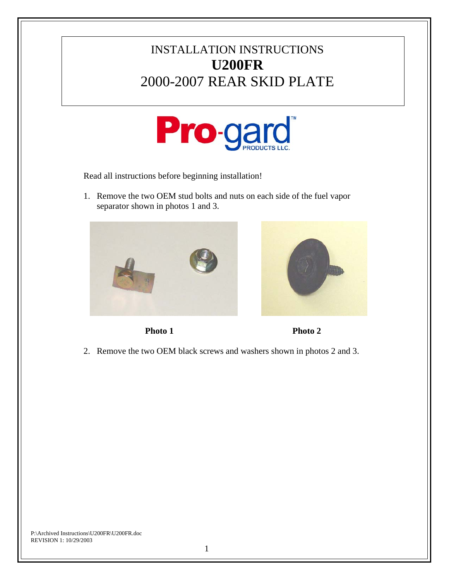## INSTALLATION INSTRUCTIONS **U200FR** 2000-2007 REAR SKID PLATE



Read all instructions before beginning installation!

1. Remove the two OEM stud bolts and nuts on each side of the fuel vapor separator shown in photos 1 and 3.







2. Remove the two OEM black screws and washers shown in photos 2 and 3.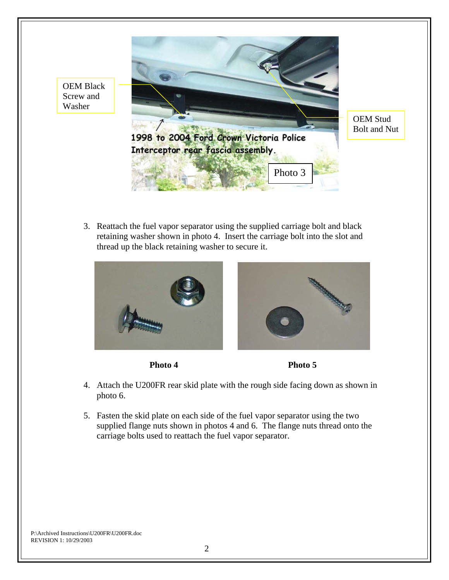

3. Reattach the fuel vapor separator using the supplied carriage bolt and black retaining washer shown in photo 4. Insert the carriage bolt into the slot and thread up the black retaining washer to secure it.





- 4. Attach the U200FR rear skid plate with the rough side facing down as shown in photo 6.
- 5. Fasten the skid plate on each side of the fuel vapor separator using the two supplied flange nuts shown in photos 4 and 6. The flange nuts thread onto the carriage bolts used to reattach the fuel vapor separator.